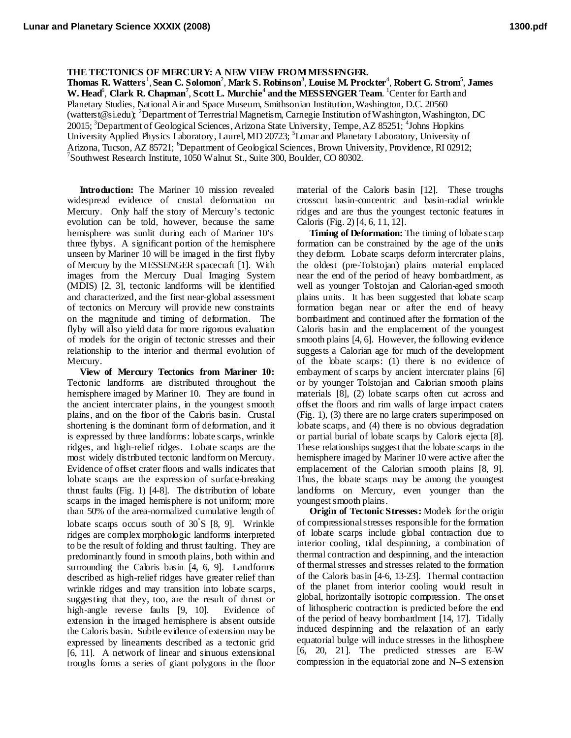## **THE TECTONICS OF MERCURY: A NEW VIEW FROM MESSENGER.**

 $\bf{T}$ homas  $\bf{R}$ . Watters<sup>1</sup>, Sean C. Solomon<sup>2</sup>, Mark S. Robinson<sup>3</sup>, Louise M. Prockter<sup>4</sup>, Robert G. Strom<sup>5</sup>, James W. Head<sup>6</sup>, Clark R. Chapman<sup>7</sup>, Scott L. Murchie<sup>4</sup> and the MESSENGER Team. <sup>1</sup>Center for Earth and Planetary Studies, National Air and Space Museum, Smithsonian Institution, Washington, D.C. 20560 [\(watterst@si.edu\)](mailto:twatters@nasm.si.edu); <sup>2</sup>Department of Terrestrial Magnetism, Carnegie Institution of Washington, Washington, DC 20015; <sup>3</sup>Department of Geological Sciences, Arizona State University, Tempe, AZ 85251; <sup>4</sup>Johns Hopkins University Applied Physics Laboratory, Laurel, MD 20723; <sup>5</sup>Lunar and Planetary Laboratory, University of Arizona, Tucson, AZ 85721; <sup>6</sup>Department of Geological Sciences, Brown University, Providence, RI 02912;<br><sup>7</sup>Southwest Becogged Institute, 1050 Welayt St. Suite 200, Bouldar, CO 80202 Southwest Research Institute,  $1050$  Walnut St., Suite 300, Boulder, CO 80302.

**Introduction:** The Mariner 10 mission revealed widespread evidence of crustal deformation on Mercury. Only half the story of Mercury's tectonic evolution can be told, however, because the same hemisphere was sunlit during each of Mariner 10's three flybys. A significant portion of the hemisphere unseen by Mariner 10 will be imaged in the first flyby of Mercury by the MESSENGER spacecraft [1]. With images from the Mercury Dual Imaging System (MDIS) [2, 3], tectonic landforms will be identified and characterized, and the first near-global assessment of tectonics on Mercury will provide new constraints on the magnitude and timing of deformation. The flyby will also yield data for more rigorous evaluation of models for the origin of tectonic stresses and their relationship to the interior and thermal evolution of Mercury.

**View of Mercury Tectonics from Mariner 10:**  Tectonic landforms are distributed throughout the hemisphere imaged by Mariner 10. They are found in the ancient intercrater plains, in the youngest smooth plains, and on the floor of the Caloris basin. Crustal shortening is the dominant form of deformation, and it is expressed by three landforms: lobate scarps, wrinkle ridges, and high-relief ridges. Lobate scarps are the most widely distributed tectonic landform on Mercury. Evidence of offset crater floors and walls indicates that lobate scarps are the expression of surface-breaking thrust faults (Fig. 1) [4-8]. The distribution of lobate scarps in the imaged hemisphere is not uniform; more than 50% of the area-normalized cumulative length of lobate scarps occurs south of 30<sup>°</sup>S [8, 9]. Wrinkle ridges are complex morphologic landforms interpreted to be the result of folding and thrust faulting. They are predominantly found in smooth plains, both within and surrounding the Cabris basin [4, 6, 9]. Landforms described as high-relief ridges have greater relief than wrinkle ridges and may transition into lobate scarps, suggesting that they, too, are the result of thrust or high-angle reverse faults [9, 10]. Evidence of extension in the imaged hemisphere is absent outside the Caloris basin. Subtle evidence of extension may be expressed by lineaments described as a tectonic grid [6, 11]. A network of linear and sinuous extensional troughs forms a series of giant polygons in the floor material of the Caloris basin [12]. These troughs crosscut basin-concentric and basin-radial wrinkle ridges and are thus the youngest tectonic features in Caloris (Fig. 2) [4, 6, 11, 12].

**Timing of Deformation:** The timing of lobate scarp formation can be constrained by the age of the units they deform. Lobate scarps deform intercrater plains, the oldest (pre-Tolstojan) plains material emplaced near the end of the period of heavy bombardment, as well as younger Tolstojan and Calorian-aged smooth plains units. It has been suggested that lobate scarp formation began near or after the end of heavy bombardment and continued after the formation of the Caloris basin and the emplacement of the youngest smooth plains [4, 6]. However, the following evidence suggests a Calorian age for much of the development of the lobate scarps: (1) there is no evidence of embayment of scarps by ancient intercrater plains [6] or by younger Tolstojan and Calorian smooth plains materials [8], (2) lobate scarps often cut across and offset the floors and rim walls of large impact craters (Fig. 1), (3) there are no large craters superimposed on lobate scarps, and (4) there is no obvious degradation or partial burial of lobate scarps by Caloris ejecta [8]. These relationships suggest that the lobate scarps in the hemisphere imaged by Mariner 10 were active after the emplacement of the Calorian smooth plains [8, 9]. Thus, the lobate scarps may be among the youngest landforms on Mercury, even younger than the youngest smooth plains.

**Origin of Tectonic Stresses:** Models for the origin of compressional stresses responsible for the formation of lobate scarps include global contraction due to interior cooling, tidal despinning, a combination of thermal contraction and despinning, and the interaction of thermal stresses and stresses related to the formation of the Caloris basin [4-6, 13-23]. Thermal contraction of the planet from interior cooling would result in global, horizontally isotropic compression. The onset of lithospheric contraction is predicted before the end of the period of heavy bombardment [14, 17]. Tidally induced despinning and the relaxation of an early equatorial bulge will induce stresses in the lithosphere [6, 20, 21]. The predicted stresses are E–W compression in the equatorial zone and N–S extension